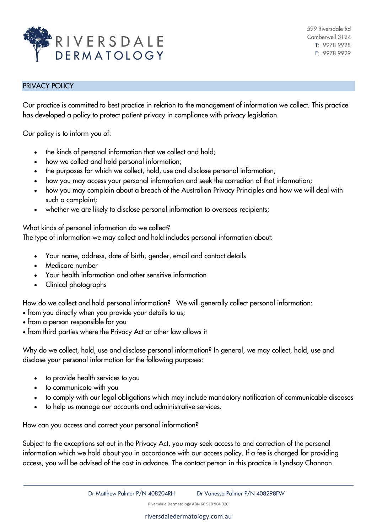

## PRIVACY POLICY

Our practice is committed to best practice in relation to the management of information we collect. This practice has developed a policy to protect patient privacy in compliance with privacy legislation.

Our policy is to inform you of:

- the kinds of personal information that we collect and hold;
- how we collect and hold personal information;
- the purposes for which we collect, hold, use and disclose personal information;
- how you may access your personal information and seek the correction of that information;
- how you may complain about a breach of the Australian Privacy Principles and how we will deal with such a complaint;
- whether we are likely to disclose personal information to overseas recipients;

What kinds of personal information do we collect?

The type of information we may collect and hold includes personal information about:

- Your name, address, date of birth, gender, email and contact details
- Medicare number
- Your health information and other sensitive information
- Clinical photographs

How do we collect and hold personal information? We will generally collect personal information:

- from you directly when you provide your details to us;
- from a person responsible for you
- from third parties where the Privacy Act or other law allows it

Why do we collect, hold, use and disclose personal information? In general, we may collect, hold, use and disclose your personal information for the following purposes:

- to provide health services to you
- to communicate with you
- to comply with our legal obligations which may include mandatory notification of communicable diseases
- to help us manage our accounts and administrative services.

How can you access and correct your personal information?

Subject to the exceptions set out in the Privacy Act, you may seek access to and correction of the personal information which we hold about you in accordance with our access policy. If a fee is charged for providing access, you will be advised of the cost in advance. The contact person in this practice is Lyndsay Channon.

Riversdale Dermatology ABN 66 918 904 320